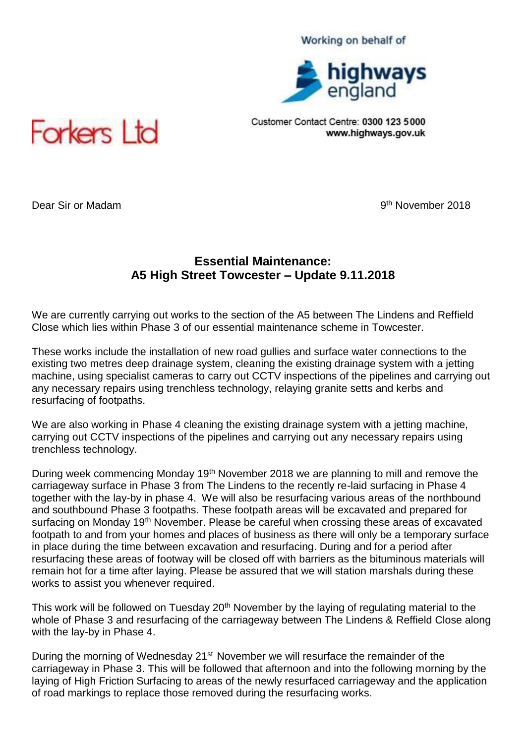## Working on behalf of



Customer Contact Centre: 0300 123 5000 www.highways.gov.uk



Dear Sir or Madam

9<sup>th</sup> November 2018

## **Essential Maintenance: A5 High Street Towcester – Update 9.11.2018**

We are currently carrying out works to the section of the A5 between The Lindens and Reffield Close which lies within Phase 3 of our essential maintenance scheme in Towcester.

These works include the installation of new road gullies and surface water connections to the existing two metres deep drainage system, cleaning the existing drainage system with a jetting machine, using specialist cameras to carry out CCTV inspections of the pipelines and carrying out any necessary repairs using trenchless technology, relaying granite setts and kerbs and resurfacing of footpaths.

We are also working in Phase 4 cleaning the existing drainage system with a jetting machine, carrying out CCTV inspections of the pipelines and carrying out any necessary repairs using trenchless technology.

During week commencing Monday 19<sup>th</sup> November 2018 we are planning to mill and remove the carriageway surface in Phase 3 from The Lindens to the recently re-laid surfacing in Phase 4 together with the lay-by in phase 4. We will also be resurfacing various areas of the northbound and southbound Phase 3 footpaths. These footpath areas will be excavated and prepared for surfacing on Monday 19<sup>th</sup> November. Please be careful when crossing these areas of excavated footpath to and from your homes and places of business as there will only be a temporary surface in place during the time between excavation and resurfacing. During and for a period after resurfacing these areas of footway will be closed off with barriers as the bituminous materials will remain hot for a time after laying. Please be assured that we will station marshals during these works to assist you whenever required.

This work will be followed on Tuesday 20<sup>th</sup> November by the laying of regulating material to the whole of Phase 3 and resurfacing of the carriageway between The Lindens & Reffield Close along with the lay-by in Phase 4.

During the morning of Wednesday 21<sup>st</sup> November we will resurface the remainder of the carriageway in Phase 3. This will be followed that afternoon and into the following morning by the laying of High Friction Surfacing to areas of the newly resurfaced carriageway and the application of road markings to replace those removed during the resurfacing works.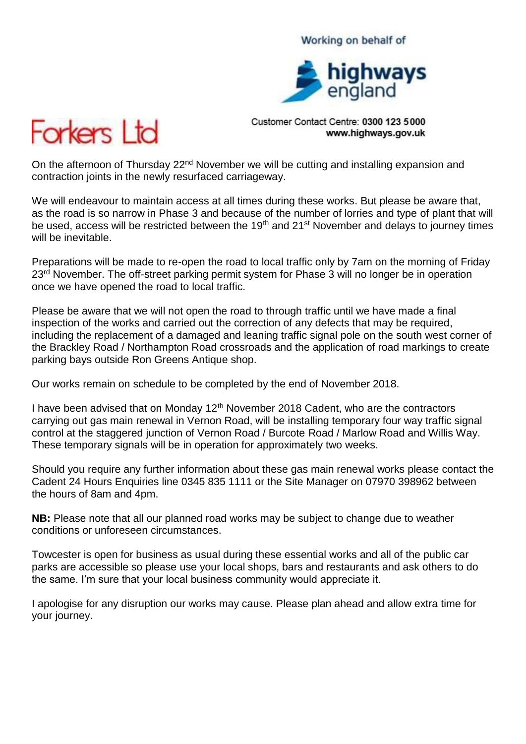## Working on behalf of



Customer Contact Centre: 0300 123 5000 www.highways.gov.uk



On the afternoon of Thursday 22<sup>nd</sup> November we will be cutting and installing expansion and contraction joints in the newly resurfaced carriageway.

We will endeavour to maintain access at all times during these works. But please be aware that, as the road is so narrow in Phase 3 and because of the number of lorries and type of plant that will be used, access will be restricted between the 19<sup>th</sup> and 21<sup>st</sup> November and delays to journey times will be inevitable.

Preparations will be made to re-open the road to local traffic only by 7am on the morning of Friday 23<sup>rd</sup> November. The off-street parking permit system for Phase 3 will no longer be in operation once we have opened the road to local traffic.

Please be aware that we will not open the road to through traffic until we have made a final inspection of the works and carried out the correction of any defects that may be required, including the replacement of a damaged and leaning traffic signal pole on the south west corner of the Brackley Road / Northampton Road crossroads and the application of road markings to create parking bays outside Ron Greens Antique shop.

Our works remain on schedule to be completed by the end of November 2018.

I have been advised that on Monday  $12<sup>th</sup>$  November 2018 Cadent, who are the contractors carrying out gas main renewal in Vernon Road, will be installing temporary four way traffic signal control at the staggered junction of Vernon Road / Burcote Road / Marlow Road and Willis Way. These temporary signals will be in operation for approximately two weeks.

Should you require any further information about these gas main renewal works please contact the Cadent 24 Hours Enquiries line 0345 835 1111 or the Site Manager on 07970 398962 between the hours of 8am and 4pm.

**NB:** Please note that all our planned road works may be subject to change due to weather conditions or unforeseen circumstances.

Towcester is open for business as usual during these essential works and all of the public car parks are accessible so please use your local shops, bars and restaurants and ask others to do the same. I'm sure that your local business community would appreciate it.

I apologise for any disruption our works may cause. Please plan ahead and allow extra time for your journey.